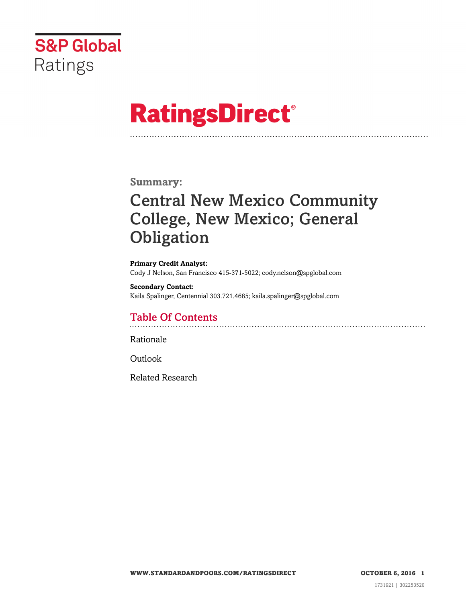

# **RatingsDirect®**

#### **Summary:**

# Central New Mexico Community College, New Mexico; General **Obligation**

**Primary Credit Analyst:** Cody J Nelson, San Francisco 415-371-5022; cody.nelson@spglobal.com

**Secondary Contact:** Kaila Spalinger, Centennial 303.721.4685; kaila.spalinger@spglobal.com

### Table Of Contents

[Rationale](#page-1-0)

[Outlook](#page-4-0)

[Related Research](#page-4-1)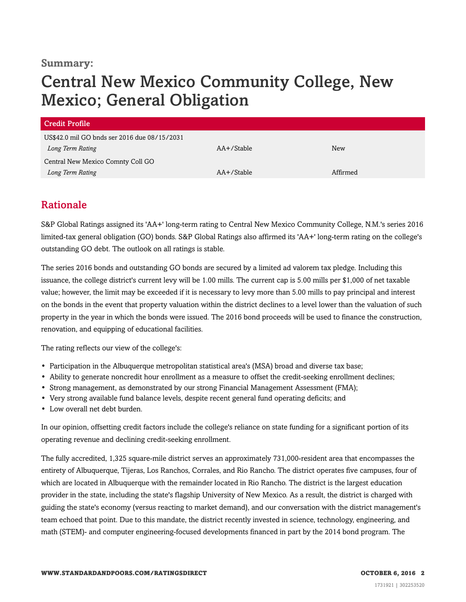#### **Summary:**

# Central New Mexico Community College, New Mexico; General Obligation

| Credit Profile                               |               |            |
|----------------------------------------------|---------------|------------|
| US\$42.0 mil GO bnds ser 2016 due 08/15/2031 |               |            |
| Long Term Rating                             | $AA+$ /Stable | <b>New</b> |
| Central New Mexico Comnty Coll GO            |               |            |
| Long Term Rating                             | AA+/Stable    | Affirmed   |

#### <span id="page-1-0"></span>Rationale

S&P Global Ratings assigned its 'AA+' long-term rating to Central New Mexico Community College, N.M.'s series 2016 limited-tax general obligation (GO) bonds. S&P Global Ratings also affirmed its 'AA+' long-term rating on the college's outstanding GO debt. The outlook on all ratings is stable.

The series 2016 bonds and outstanding GO bonds are secured by a limited ad valorem tax pledge. Including this issuance, the college district's current levy will be 1.00 mills. The current cap is 5.00 mills per \$1,000 of net taxable value; however, the limit may be exceeded if it is necessary to levy more than 5.00 mills to pay principal and interest on the bonds in the event that property valuation within the district declines to a level lower than the valuation of such property in the year in which the bonds were issued. The 2016 bond proceeds will be used to finance the construction, renovation, and equipping of educational facilities.

The rating reflects our view of the college's:

- Participation in the Albuquerque metropolitan statistical area's (MSA) broad and diverse tax base;
- Ability to generate noncredit hour enrollment as a measure to offset the credit-seeking enrollment declines;
- Strong management, as demonstrated by our strong Financial Management Assessment (FMA);
- Very strong available fund balance levels, despite recent general fund operating deficits; and
- Low overall net debt burden.

In our opinion, offsetting credit factors include the college's reliance on state funding for a significant portion of its operating revenue and declining credit-seeking enrollment.

The fully accredited, 1,325 square-mile district serves an approximately 731,000-resident area that encompasses the entirety of Albuquerque, Tijeras, Los Ranchos, Corrales, and Rio Rancho. The district operates five campuses, four of which are located in Albuquerque with the remainder located in Rio Rancho. The district is the largest education provider in the state, including the state's flagship University of New Mexico. As a result, the district is charged with guiding the state's economy (versus reacting to market demand), and our conversation with the district management's team echoed that point. Due to this mandate, the district recently invested in science, technology, engineering, and math (STEM)- and computer engineering-focused developments financed in part by the 2014 bond program. The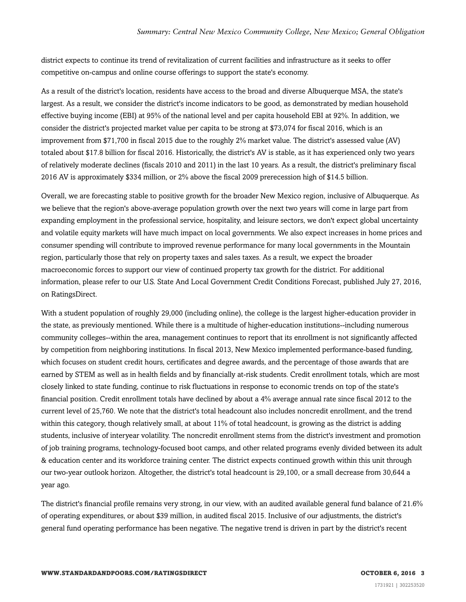district expects to continue its trend of revitalization of current facilities and infrastructure as it seeks to offer competitive on-campus and online course offerings to support the state's economy.

As a result of the district's location, residents have access to the broad and diverse Albuquerque MSA, the state's largest. As a result, we consider the district's income indicators to be good, as demonstrated by median household effective buying income (EBI) at 95% of the national level and per capita household EBI at 92%. In addition, we consider the district's projected market value per capita to be strong at \$73,074 for fiscal 2016, which is an improvement from \$71,700 in fiscal 2015 due to the roughly 2% market value. The district's assessed value (AV) totaled about \$17.8 billion for fiscal 2016. Historically, the district's AV is stable, as it has experienced only two years of relatively moderate declines (fiscals 2010 and 2011) in the last 10 years. As a result, the district's preliminary fiscal 2016 AV is approximately \$334 million, or 2% above the fiscal 2009 prerecession high of \$14.5 billion.

Overall, we are forecasting stable to positive growth for the broader New Mexico region, inclusive of Albuquerque. As we believe that the region's above-average population growth over the next two years will come in large part from expanding employment in the professional service, hospitality, and leisure sectors, we don't expect global uncertainty and volatile equity markets will have much impact on local governments. We also expect increases in home prices and consumer spending will contribute to improved revenue performance for many local governments in the Mountain region, particularly those that rely on property taxes and sales taxes. As a result, we expect the broader macroeconomic forces to support our view of continued property tax growth for the district. For additional information, please refer to our U.S. State And Local Government Credit Conditions Forecast, published July 27, 2016, on RatingsDirect.

With a student population of roughly 29,000 (including online), the college is the largest higher-education provider in the state, as previously mentioned. While there is a multitude of higher-education institutions--including numerous community colleges--within the area, management continues to report that its enrollment is not significantly affected by competition from neighboring institutions. In fiscal 2013, New Mexico implemented performance-based funding, which focuses on student credit hours, certificates and degree awards, and the percentage of those awards that are earned by STEM as well as in health fields and by financially at-risk students. Credit enrollment totals, which are most closely linked to state funding, continue to risk fluctuations in response to economic trends on top of the state's financial position. Credit enrollment totals have declined by about a 4% average annual rate since fiscal 2012 to the current level of 25,760. We note that the district's total headcount also includes noncredit enrollment, and the trend within this category, though relatively small, at about 11% of total headcount, is growing as the district is adding students, inclusive of interyear volatility. The noncredit enrollment stems from the district's investment and promotion of job training programs, technology-focused boot camps, and other related programs evenly divided between its adult & education center and its workforce training center. The district expects continued growth within this unit through our two-year outlook horizon. Altogether, the district's total headcount is 29,100, or a small decrease from 30,644 a year ago.

The district's financial profile remains very strong, in our view, with an audited available general fund balance of 21.6% of operating expenditures, or about \$39 million, in audited fiscal 2015. Inclusive of our adjustments, the district's general fund operating performance has been negative. The negative trend is driven in part by the district's recent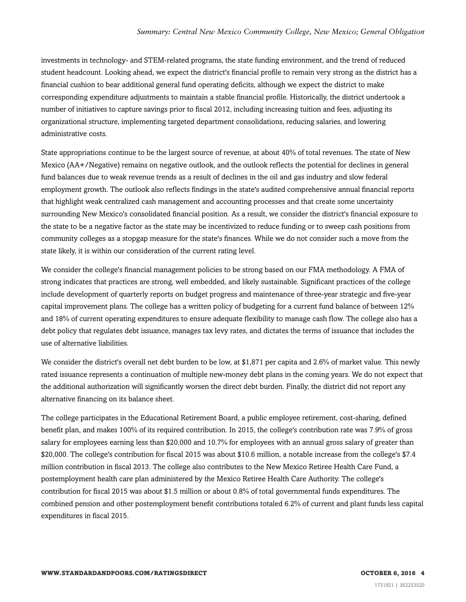investments in technology- and STEM-related programs, the state funding environment, and the trend of reduced student headcount. Looking ahead, we expect the district's financial profile to remain very strong as the district has a financial cushion to bear additional general fund operating deficits, although we expect the district to make corresponding expenditure adjustments to maintain a stable financial profile. Historically, the district undertook a number of initiatives to capture savings prior to fiscal 2012, including increasing tuition and fees, adjusting its organizational structure, implementing targeted department consolidations, reducing salaries, and lowering administrative costs.

State appropriations continue to be the largest source of revenue, at about 40% of total revenues. The state of New Mexico (AA+/Negative) remains on negative outlook, and the outlook reflects the potential for declines in general fund balances due to weak revenue trends as a result of declines in the oil and gas industry and slow federal employment growth. The outlook also reflects findings in the state's audited comprehensive annual financial reports that highlight weak centralized cash management and accounting processes and that create some uncertainty surrounding New Mexico's consolidated financial position. As a result, we consider the district's financial exposure to the state to be a negative factor as the state may be incentivized to reduce funding or to sweep cash positions from community colleges as a stopgap measure for the state's finances. While we do not consider such a move from the state likely, it is within our consideration of the current rating level.

We consider the college's financial management policies to be strong based on our FMA methodology. A FMA of strong indicates that practices are strong, well embedded, and likely sustainable. Significant practices of the college include development of quarterly reports on budget progress and maintenance of three-year strategic and five-year capital improvement plans. The college has a written policy of budgeting for a current fund balance of between 12% and 18% of current operating expenditures to ensure adequate flexibility to manage cash flow. The college also has a debt policy that regulates debt issuance, manages tax levy rates, and dictates the terms of issuance that includes the use of alternative liabilities.

We consider the district's overall net debt burden to be low, at \$1,871 per capita and 2.6% of market value. This newly rated issuance represents a continuation of multiple new-money debt plans in the coming years. We do not expect that the additional authorization will significantly worsen the direct debt burden. Finally, the district did not report any alternative financing on its balance sheet.

The college participates in the Educational Retirement Board, a public employee retirement, cost-sharing, defined benefit plan, and makes 100% of its required contribution. In 2015, the college's contribution rate was 7.9% of gross salary for employees earning less than \$20,000 and 10.7% for employees with an annual gross salary of greater than \$20,000. The college's contribution for fiscal 2015 was about \$10.6 million, a notable increase from the college's \$7.4 million contribution in fiscal 2013. The college also contributes to the New Mexico Retiree Health Care Fund, a postemployment health care plan administered by the Mexico Retiree Health Care Authority. The college's contribution for fiscal 2015 was about \$1.5 million or about 0.8% of total governmental funds expenditures. The combined pension and other postemployment benefit contributions totaled 6.2% of current and plant funds less capital expenditures in fiscal 2015.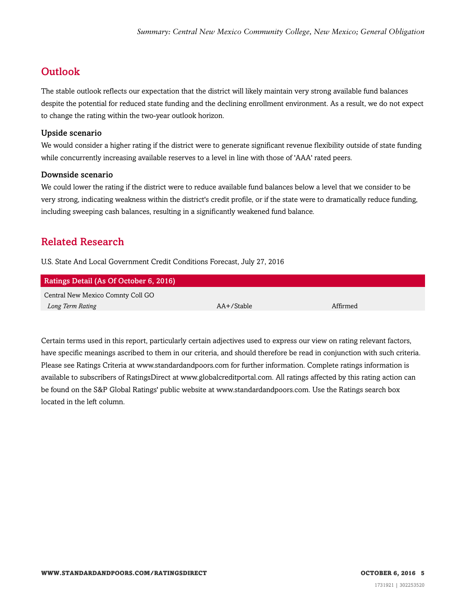## <span id="page-4-0"></span>**Outlook**

The stable outlook reflects our expectation that the district will likely maintain very strong available fund balances despite the potential for reduced state funding and the declining enrollment environment. As a result, we do not expect to change the rating within the two-year outlook horizon.

#### Upside scenario

We would consider a higher rating if the district were to generate significant revenue flexibility outside of state funding while concurrently increasing available reserves to a level in line with those of 'AAA' rated peers.

#### Downside scenario

We could lower the rating if the district were to reduce available fund balances below a level that we consider to be very strong, indicating weakness within the district's credit profile, or if the state were to dramatically reduce funding, including sweeping cash balances, resulting in a significantly weakened fund balance.

#### <span id="page-4-1"></span>Related Research

U.S. State And Local Government Credit Conditions Forecast, July 27, 2016

| Ratings Detail (As Of October 6, 2016) |            |          |  |
|----------------------------------------|------------|----------|--|
| Central New Mexico Comnty Coll GO      |            |          |  |
| Long Term Rating                       | AA+/Stable | Affirmed |  |

Certain terms used in this report, particularly certain adjectives used to express our view on rating relevant factors, have specific meanings ascribed to them in our criteria, and should therefore be read in conjunction with such criteria. Please see Ratings Criteria at www.standardandpoors.com for further information. Complete ratings information is available to subscribers of RatingsDirect at www.globalcreditportal.com. All ratings affected by this rating action can be found on the S&P Global Ratings' public website at www.standardandpoors.com. Use the Ratings search box located in the left column.